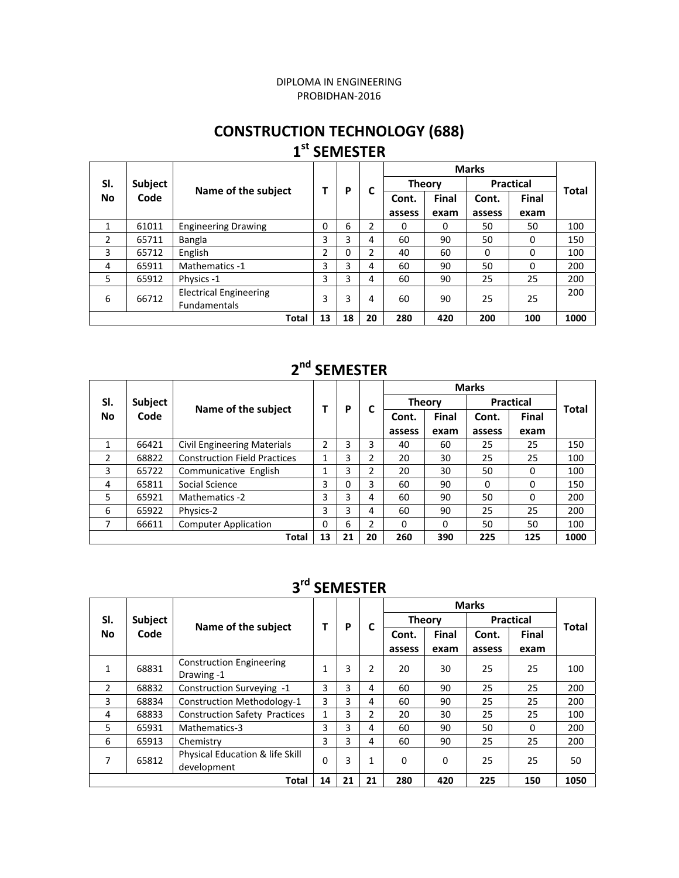#### DIPLOMA IN ENGINEERING PROBIDHAN‐2016

#### **CONSTRUCTION TECHNOLOGY (688) 1st SEMESTER**

|                  | <b>Subject</b><br>Code | Name of the subject                           |    | P  |                |               |              |                  |              |       |
|------------------|------------------------|-----------------------------------------------|----|----|----------------|---------------|--------------|------------------|--------------|-------|
| SI.<br><b>No</b> |                        |                                               |    |    |                | <b>Theory</b> |              | <b>Practical</b> |              | Total |
|                  |                        |                                               |    |    | C              | Cont.         | <b>Final</b> | Cont.            | <b>Final</b> |       |
|                  |                        |                                               |    |    |                | assess        | exam         | assess           | exam         |       |
| 1                | 61011                  | <b>Engineering Drawing</b>                    | 0  | 6  | $\overline{2}$ | 0             | 0            | 50               | 50           | 100   |
| $\overline{2}$   | 65711                  | Bangla                                        | 3  | 3  | 4              | 60            | 90           | 50               | $\Omega$     | 150   |
| 3                | 65712                  | English                                       | 2  | 0  | 2              | 40            | 60           | $\Omega$         | $\Omega$     | 100   |
| 4                | 65911                  | Mathematics -1                                | 3  | 3  | 4              | 60            | 90           | 50               | $\Omega$     | 200   |
| 5                | 65912                  | Physics -1                                    | 3  | 3  | 4              | 60            | 90           | 25               | 25           | 200   |
| 6                | 66712                  | <b>Electrical Engineering</b><br>Fundamentals | 3  | 3  | 4              | 60            | 90           | 25               | 25           | 200   |
|                  |                        | <b>Total</b>                                  | 13 | 18 | 20             | 280           | 420          | 200              | 100          | 1000  |

# **2nd SEMESTER**

|                  | <b>Subject</b><br>Code |                                     |    |    |    |               |              | Total  |                  |      |
|------------------|------------------------|-------------------------------------|----|----|----|---------------|--------------|--------|------------------|------|
| SI.<br><b>No</b> |                        |                                     |    | P  |    | <b>Theory</b> |              |        | <b>Practical</b> |      |
|                  |                        | Name of the subject                 |    |    | C  | Cont.         | <b>Final</b> | Cont.  | Final            |      |
|                  |                        |                                     |    |    |    | assess        | exam         | assess | exam             |      |
| 1                | 66421                  | <b>Civil Engineering Materials</b>  | 2  | 3  | 3  | 40            | 60           | 25     | 25               | 150  |
| 2                | 68822                  | <b>Construction Field Practices</b> | 1  | 3  | 2  | 20            | 30           | 25     | 25               | 100  |
| 3                | 65722                  | Communicative English               | ᆂ  | 3  | 2  | 20            | 30           | 50     | 0                | 100  |
| 4                | 65811                  | Social Science                      | 3  | 0  | 3  | 60            | 90           | 0      | 0                | 150  |
| 5                | 65921                  | Mathematics -2                      | 3  | 3  | 4  | 60            | 90           | 50     | 0                | 200  |
| 6                | 65922                  | Physics-2                           | 3  | 3  | 4  | 60            | 90           | 25     | 25               | 200  |
| 7                | 66611                  | <b>Computer Application</b>         | 0  | 6  | 2  | 0             | 0            | 50     | 50               | 100  |
|                  |                        | <b>Total</b>                        | 13 | 21 | 20 | 260           | 390          | 225    | 125              | 1000 |

#### **3rd SEMESTER**

|                  | <b>Subject</b><br>Code | Name of the subject                            |    | P  |    |               |              |        |                  |              |
|------------------|------------------------|------------------------------------------------|----|----|----|---------------|--------------|--------|------------------|--------------|
| SI.<br><b>No</b> |                        |                                                |    |    |    | <b>Theory</b> |              |        | <b>Practical</b> |              |
|                  |                        |                                                |    |    | C  | Cont.         | <b>Final</b> | Cont.  | <b>Final</b>     | <b>Total</b> |
|                  |                        |                                                |    |    |    | assess        | exam         | assess | exam             |              |
| 1                | 68831                  | <b>Construction Engineering</b><br>Drawing -1  |    | 3  | 2  | 20            | 30           | 25     | 25               | 100          |
| 2                | 68832                  | Construction Surveying -1                      | 3  | 3  | 4  | 60            | 90           | 25     | 25               | 200          |
| 3                | 68834                  | Construction Methodology-1                     | 3  | 3  | 4  | 60            | 90           | 25     | 25               | 200          |
| 4                | 68833                  | <b>Construction Safety Practices</b>           |    | 3  | 2  | 20            | 30           | 25     | 25               | 100          |
| 5                | 65931                  | Mathematics-3                                  | 3  | 3  | 4  | 60            | 90           | 50     | $\Omega$         | 200          |
| 6                | 65913                  | Chemistry                                      | 3  | 3  | 4  | 60            | 90           | 25     | 25               | 200          |
| 7                | 65812                  | Physical Education & life Skill<br>development | 0  | 3  | 1  | $\Omega$      | $\Omega$     | 25     | 25               | 50           |
|                  |                        | Total                                          | 14 | 21 | 21 | 280           | 420          | 225    | 150              | 1050         |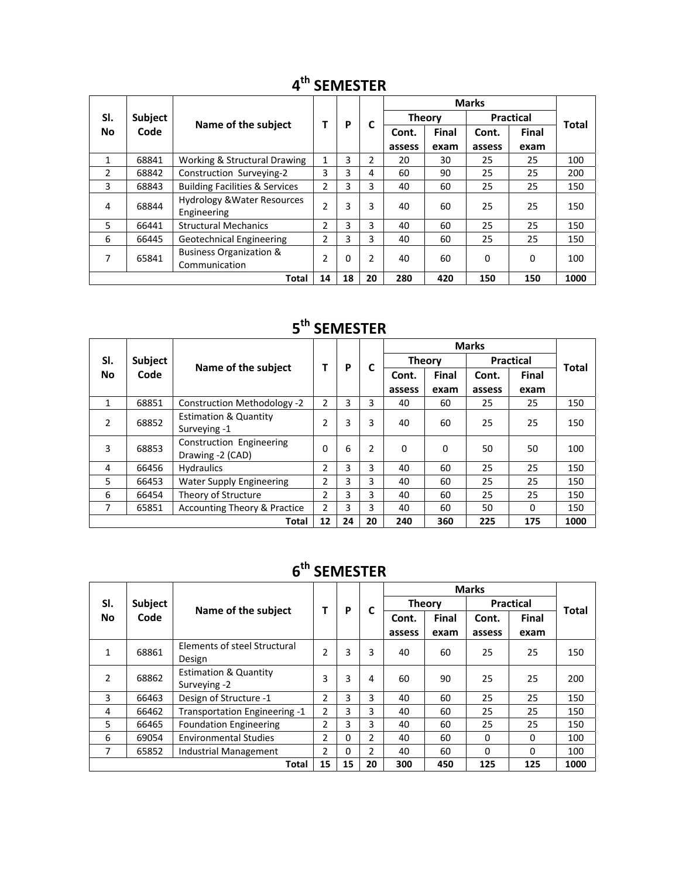|                  | Subject<br>Code | Name of the subject                                   |    | P  |    |               |              |          |                  |       |
|------------------|-----------------|-------------------------------------------------------|----|----|----|---------------|--------------|----------|------------------|-------|
| SI.<br><b>No</b> |                 |                                                       |    |    |    | <b>Theory</b> |              |          | <b>Practical</b> |       |
|                  |                 |                                                       |    |    | C  | Cont.         | <b>Final</b> | Cont.    | <b>Final</b>     | Total |
|                  |                 |                                                       |    |    |    | assess        | exam         | assess   | exam             |       |
| $\mathbf{1}$     | 68841           | Working & Structural Drawing                          | 1  | 3  | 2  | 20            | 30           | 25       | 25               | 100   |
| 2                | 68842           | Construction Surveying-2                              | 3  | 3  | 4  | 60            | 90           | 25       | 25               | 200   |
| 3                | 68843           | <b>Building Facilities &amp; Services</b>             | 2  | 3  | 3  | 40            | 60           | 25       | 25               | 150   |
| 4                | 68844           | <b>Hydrology &amp; Water Resources</b><br>Engineering | 2  | 3  | 3  | 40            | 60           | 25       | 25               | 150   |
| 5                | 66441           | <b>Structural Mechanics</b>                           | 2  | 3  | 3  | 40            | 60           | 25       | 25               | 150   |
| 6                | 66445           | <b>Geotechnical Engineering</b>                       | 2  | 3  | 3  | 40            | 60           | 25       | 25               | 150   |
| 7                | 65841           | <b>Business Organization &amp;</b><br>Communication   | 2  | 0  | 2  | 40            | 60           | $\Omega$ | 0                | 100   |
|                  |                 | Total                                                 | 14 | 18 | 20 | 280           | 420          | 150      | 150              | 1000  |

## **4th SEMESTER**

# **5th SEMESTER**

|                  | Subject<br>Code | Name of the subject                              |               | P  | C  |               |              |                  |          |       |
|------------------|-----------------|--------------------------------------------------|---------------|----|----|---------------|--------------|------------------|----------|-------|
| SI.<br><b>No</b> |                 |                                                  |               |    |    | <b>Theory</b> |              | <b>Practical</b> |          | Total |
|                  |                 |                                                  |               |    |    | Cont.         | <b>Final</b> | Cont.            | Final    |       |
|                  |                 |                                                  |               |    |    | assess        | exam         | assess           | exam     |       |
| 1                | 68851           | <b>Construction Methodology -2</b>               | 2             | 3  | 3  | 40            | 60           | 25               | 25       | 150   |
| 2                | 68852           | <b>Estimation &amp; Quantity</b><br>Surveying -1 | 2             | 3  | 3  | 40            | 60           | 25               | 25       | 150   |
| 3                | 68853           | Construction Engineering<br>Drawing -2 (CAD)     | 0             | 6  | 2  | $\Omega$      | $\Omega$     | 50               | 50       | 100   |
| 4                | 66456           | <b>Hydraulics</b>                                | 2             | 3  | 3  | 40            | 60           | 25               | 25       | 150   |
| 5                | 66453           | <b>Water Supply Engineering</b>                  | 2             | 3  | 3  | 40            | 60           | 25               | 25       | 150   |
| 6                | 66454           | Theory of Structure                              | $\mathcal{P}$ | 3  | 3  | 40            | 60           | 25               | 25       | 150   |
| 7                | 65851           | <b>Accounting Theory &amp; Practice</b>          | 2             | 3  | 3  | 40            | 60           | 50               | $\Omega$ | 150   |
|                  |                 | Total                                            | 12            | 24 | 20 | 240           | 360          | 225              | 175      | 1000  |

## **6th SEMESTER**

|                  | Subject<br>Code |                                                  |    | P        | C             |               |              | <b>Total</b> |                  |      |
|------------------|-----------------|--------------------------------------------------|----|----------|---------------|---------------|--------------|--------------|------------------|------|
| SI.<br><b>No</b> |                 | Name of the subject                              |    |          |               | <b>Theory</b> |              |              | <b>Practical</b> |      |
|                  |                 |                                                  |    |          |               | Cont.         | <b>Final</b> | Cont.        | <b>Final</b>     |      |
|                  |                 |                                                  |    |          |               | assess        | exam         | assess       | exam             |      |
| 1                | 68861           | Elements of steel Structural<br>Design           | 2  | 3        | 3             | 40            | 60           | 25           | 25               | 150  |
| 2                | 68862           | <b>Estimation &amp; Quantity</b><br>Surveying -2 | 3  | 3        | 4             | 60            | 90           | 25           | 25               | 200  |
| 3                | 66463           | Design of Structure -1                           | 2  | 3        | 3             | 40            | 60           | 25           | 25               | 150  |
| 4                | 66462           | Transportation Engineering -1                    | 2  | 3        | 3             | 40            | 60           | 25           | 25               | 150  |
| 5                | 66465           | <b>Foundation Engineering</b>                    | 2  | 3        | 3             | 40            | 60           | 25           | 25               | 150  |
| 6                | 69054           | <b>Environmental Studies</b>                     | 2  | 0        | $\mathcal{P}$ | 40            | 60           | $\Omega$     | $\Omega$         | 100  |
| 7                | 65852           | Industrial Management                            | 2  | $\Omega$ | 2             | 40            | 60           | $\Omega$     | 0                | 100  |
|                  |                 | Total                                            | 15 | 15       | 20            | 300           | 450          | 125          | 125              | 1000 |